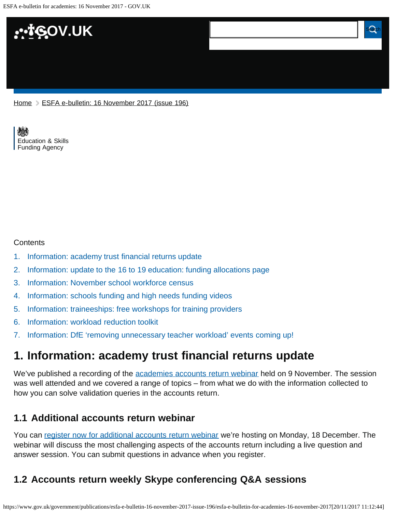

[Home](https://www.gov.uk/) > [ESFA e-bulletin: 16 November 2017 \(issue 196\)](https://www.gov.uk/government/publications/esfa-e-bulletin-16-november-2017-issue-196)

[Education & Skills](https://www.gov.uk/government/organisations/education-and-skills-funding-agency)  [Funding Agency](https://www.gov.uk/government/organisations/education-and-skills-funding-agency)

#### **Contents**

- [1.](#page-0-0) [Information: academy trust financial returns update](#page-0-0)
- [2.](#page-1-0) [Information: update to the 16 to 19 education: funding allocations page](#page-1-0)
- [3.](#page-1-1) [Information: November school workforce census](#page-1-1)
- [4.](#page-2-0) [Information: schools funding and high needs funding videos](#page-2-0)
- [5.](#page-2-1) [Information: traineeships: free workshops for training providers](#page-2-1)
- [6.](#page-2-2) [Information: workload reduction toolkit](#page-2-2)
- [7.](#page-3-0) [Information: DfE 'removing unnecessary teacher workload' events coming up!](#page-3-0)

## <span id="page-0-0"></span>**1. Information: academy trust financial returns update**

We've published a recording of the **academies accounts return webinar** held on 9 November. The session was well attended and we covered a range of topics – from what we do with the information collected to how you can solve validation queries in the accounts return.

### **1.1 Additional accounts return webinar**

You can [register now for additional accounts return webinar](https://registration.livegroup.co.uk/esfaacademywebinars/) we're hosting on Monday, 18 December. The webinar will discuss the most challenging aspects of the accounts return including a live question and answer session. You can submit questions in advance when you register.

## **1.2 Accounts return weekly Skype conferencing Q&A sessions**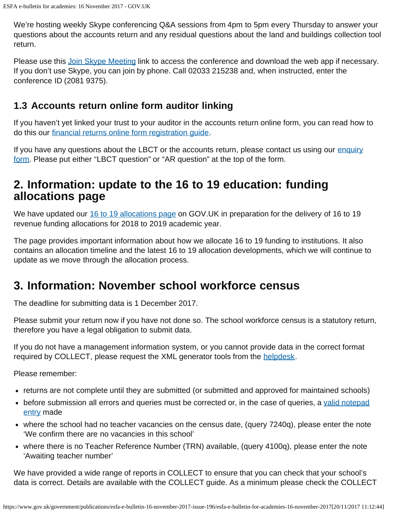We're hosting weekly Skype conferencing Q&A sessions from 4pm to 5pm every Thursday to answer your questions about the accounts return and any residual questions about the land and buildings collection tool return.

Please use this [Join Skype Meeting](https://meet.lync.com/educationgovuk/bethan.jones/BG7JHBZ2) link to access the conference and download the web app if necessary. If you don't use Skype, you can join by phone. Call 02033 215238 and, when instructed, enter the conference ID (2081 9375).

### **1.3 Accounts return online form auditor linking**

If you haven't yet linked your trust to your auditor in the accounts return online form, you can read how to do this our [financial returns online form registration guide.](https://www.gov.uk/guidance/academies-financial-returns-online-form-registration)

If you have any questions about the LBCT or the accounts return, please contact us using our [enquiry](https://form.education.gov.uk/fillform.php?self=1&form_id=HR41uA2F8Dh&type=form&ShowMsg=1&form_name=Knowledge+centre+enquiry+form&noRegister=false&ret=%2Fmodule%2Fservices&noLoginPrompt=1) [form](https://form.education.gov.uk/fillform.php?self=1&form_id=HR41uA2F8Dh&type=form&ShowMsg=1&form_name=Knowledge+centre+enquiry+form&noRegister=false&ret=%2Fmodule%2Fservices&noLoginPrompt=1). Please put either "LBCT question" or "AR question" at the top of the form.

## <span id="page-1-0"></span>**2. Information: update to the 16 to 19 education: funding allocations page**

We have updated our [16 to 19 allocations page](https://www.gov.uk/guidance/16-to-19-education-funding-allocations) on GOV.UK in preparation for the delivery of 16 to 19 revenue funding allocations for 2018 to 2019 academic year.

The page provides important information about how we allocate 16 to 19 funding to institutions. It also contains an allocation timeline and the latest 16 to 19 allocation developments, which we will continue to update as we move through the allocation process.

## <span id="page-1-1"></span>**3. Information: November school workforce census**

The deadline for submitting data is 1 December 2017.

Please submit your return now if you have not done so. The school workforce census is a statutory return, therefore you have a legal obligation to submit data.

If you do not have a management information system, or you cannot provide data in the correct format required by COLLECT, please request the XML generator tools from the [helpdesk.](https://www.education.gov.uk/researchandstatistics/stats/requestform)

Please remember:

- returns are not complete until they are submitted (or submitted and approved for maintained schools)
- before submission all errors and queries must be corrected or, in the case of queries, a [valid notepad](https://www.gov.uk/government/publications/school-workforce-census-2017-notepad-entries-for-collect-queries) [entry](https://www.gov.uk/government/publications/school-workforce-census-2017-notepad-entries-for-collect-queries) made
- where the school had no teacher vacancies on the census date, (query 7240q), please enter the note 'We confirm there are no vacancies in this school'
- where there is no Teacher Reference Number (TRN) available, (query 4100q), please enter the note 'Awaiting teacher number'

We have provided a wide range of reports in COLLECT to ensure that you can check that your school's data is correct. Details are available with the COLLECT guide. As a minimum please check the COLLECT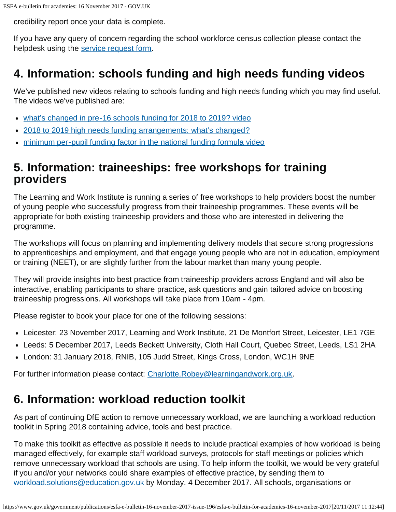credibility report once your data is complete.

If you have any query of concern regarding the school workforce census collection please contact the helpdesk using the [service request form.](https://www.education.gov.uk/researchandstatistics/stats/requestform)

# <span id="page-2-0"></span>**4. Information: schools funding and high needs funding videos**

We've published new videos relating to schools funding and high needs funding which you may find useful. The videos we've published are:

- [what's changed in pre-16 schools funding for 2018 to 2019? video](https://www.youtube.com/channel/UCROOCs9OvIwqFOy5_E0Jtfg)
- [2018 to 2019 high needs funding arrangements: what's changed?](https://www.youtube.com/channel/UCROOCs9OvIwqFOy5_E0Jtfg)
- [minimum per-pupil funding factor in the national funding formula video](https://www.youtube.com/channel/UCROOCs9OvIwqFOy5_E0Jtfg)

## <span id="page-2-1"></span>**5. Information: traineeships: free workshops for training providers**

The Learning and Work Institute is running a series of free workshops to help providers boost the number of young people who successfully progress from their traineeship programmes. These events will be appropriate for both existing traineeship providers and those who are interested in delivering the programme.

The workshops will focus on planning and implementing delivery models that secure strong progressions to apprenticeships and employment, and that engage young people who are not in education, employment or training (NEET), or are slightly further from the labour market than many young people.

They will provide insights into best practice from traineeship providers across England and will also be interactive, enabling participants to share practice, ask questions and gain tailored advice on boosting traineeship progressions. All workshops will take place from 10am - 4pm.

Please register to book your place for one of the following sessions:

- Leicester: 23 November 2017, Learning and Work Institute, 21 De Montfort Street, Leicester, LE1 7GE
- Leeds: 5 December 2017, Leeds Beckett University, Cloth Hall Court, Quebec Street, Leeds, LS1 2HA
- London: 31 January 2018, RNIB, 105 Judd Street, Kings Cross, London, WC1H 9NE

For further information please contact: [Charlotte.Robey@learningandwork.org.uk](mailto:Charlotte.Robey@learningandwork.org.uk).

## <span id="page-2-2"></span>**6. Information: workload reduction toolkit**

As part of continuing DfE action to remove unnecessary workload, we are launching a workload reduction toolkit in Spring 2018 containing advice, tools and best practice.

To make this toolkit as effective as possible it needs to include practical examples of how workload is being managed effectively, for example staff workload surveys, protocols for staff meetings or policies which remove unnecessary workload that schools are using. To help inform the toolkit, we would be very grateful if you and/or your networks could share examples of effective practice, by sending them to [workload.solutions@education.gov.uk](mailto:workload.solutions@education.gov.uk) by Monday. 4 December 2017. All schools, organisations or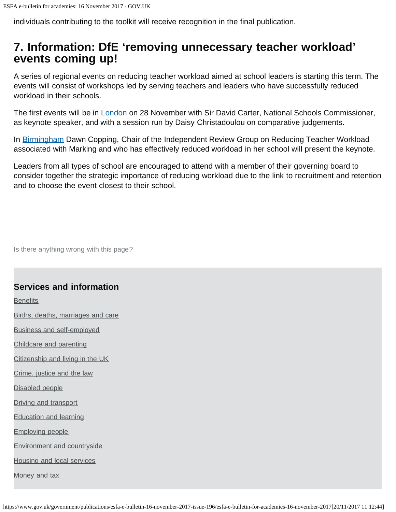individuals contributing to the toolkit will receive recognition in the final publication.

## <span id="page-3-0"></span>**7. Information: DfE 'removing unnecessary teacher workload' events coming up!**

A series of regional events on reducing teacher workload aimed at school leaders is starting this term. The events will consist of workshops led by serving teachers and leaders who have successfully reduced workload in their schools.

The first events will be in *London* on 28 November with Sir David Carter, National Schools Commissioner, as keynote speaker, and with a session run by Daisy Christadoulou on comparative judgements.

In [Birmingham](https://www.eventbrite.co.uk/e/removing-unnecessary-teacher-workload-birmingham-event-tickets-39477499263) Dawn Copping, Chair of the Independent Review Group on Reducing Teacher Workload associated with Marking and who has effectively reduced workload in her school will present the keynote.

Leaders from all types of school are encouraged to attend with a member of their governing board to consider together the strategic importance of reducing workload due to the link to recruitment and retention and to choose the event closest to their school.

Is there anything wrong with this page?

### **Services and information**

**[Benefits](https://www.gov.uk/browse/benefits)** 

[Births, deaths, marriages and care](https://www.gov.uk/browse/births-deaths-marriages)

[Business and self-employed](https://www.gov.uk/browse/business)

[Childcare and parenting](https://www.gov.uk/browse/childcare-parenting)

[Citizenship and living in the UK](https://www.gov.uk/browse/citizenship)

[Crime, justice and the law](https://www.gov.uk/browse/justice)

[Disabled people](https://www.gov.uk/browse/disabilities)

[Driving and transport](https://www.gov.uk/browse/driving)

[Education and learning](https://www.gov.uk/browse/education)

[Employing people](https://www.gov.uk/browse/employing-people)

[Environment and countryside](https://www.gov.uk/browse/environment-countryside)

[Housing and local services](https://www.gov.uk/browse/housing-local-services)

[Money and tax](https://www.gov.uk/browse/tax)